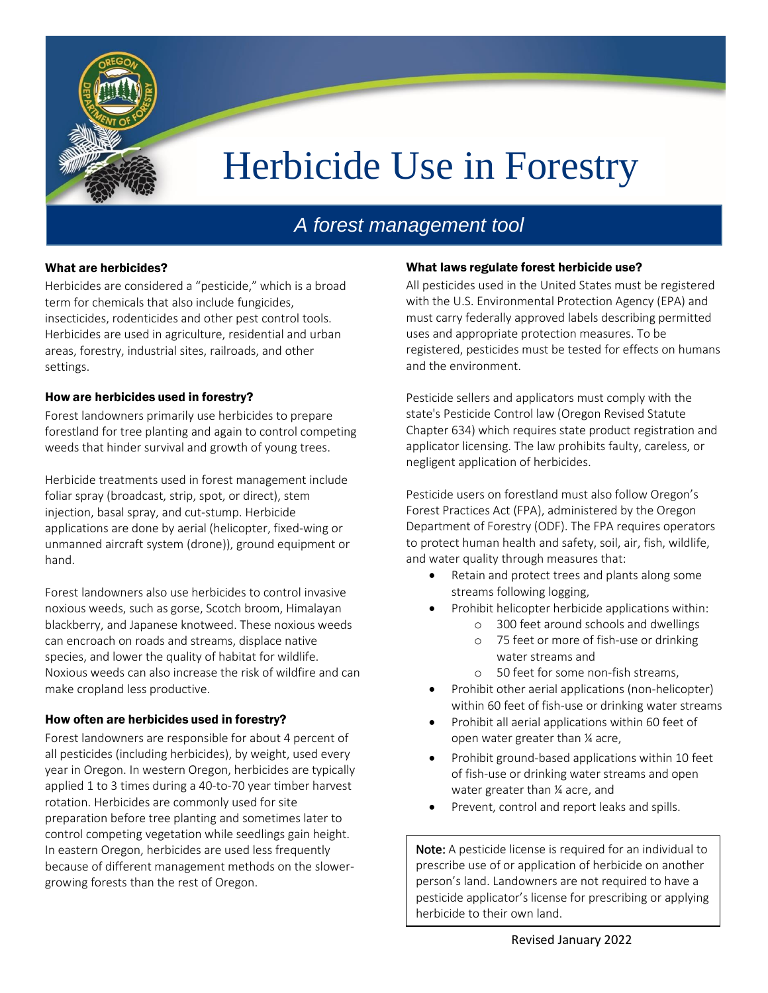

# Herbicide Use in Forestry

# *A forest management tool*

# What are herbicides?

Herbicides are considered a "pesticide," which is a broad term for chemicals that also include fungicides, insecticides, rodenticides and other pest control tools. Herbicides are used in agriculture, residential and urban areas, forestry, industrial sites, railroads, and other settings.

# How are herbicides used in forestry?

Forest landowners primarily use herbicides to prepare forestland for tree planting and again to control competing weeds that hinder survival and growth of young trees.

Herbicide treatments used in forest management include foliar spray (broadcast, strip, spot, or direct), stem injection, basal spray, and cut-stump. Herbicide applications are done by aerial (helicopter, fixed-wing or unmanned aircraft system (drone)), ground equipment or hand.

Forest landowners also use herbicides to control invasive noxious weeds, such as gorse, Scotch broom, Himalayan blackberry, and Japanese knotweed. These noxious weeds can encroach on roads and streams, displace native species, and lower the quality of habitat for wildlife. Noxious weeds can also increase the risk of wildfire and can make cropland less productive.

# How often are herbicides used in forestry?

Forest landowners are responsible for about 4 percent of all pesticides (including herbicides), by weight, used every year in Oregon. In western Oregon, herbicides are typically applied 1 to 3 times during a 40-to-70 year timber harvest rotation. Herbicides are commonly used for site preparation before tree planting and sometimes later to control competing vegetation while seedlings gain height. In eastern Oregon, herbicides are used less frequently because of different management methods on the slowergrowing forests than the rest of Oregon.

# What laws regulate forest herbicide use?

All pesticides used in the United States must be registered with the U.S. Environmental Protection Agency (EPA) and must carry federally approved labels describing permitted uses and appropriate protection measures. To be registered, pesticides must be tested for effects on humans and the environment.

Pesticide sellers and applicators must comply with the state's Pesticide Control law (Oregon Revised Statute Chapter 634) which requires state product registration and applicator licensing. The law prohibits faulty, careless, or negligent application of herbicides.

Pesticide users on forestland must also follow Oregon's Forest Practices Act (FPA), administered by the Oregon Department of Forestry (ODF). The FPA requires operators to protect human health and safety, soil, air, fish, wildlife, and water quality through measures that:

- Retain and protect trees and plants along some streams following logging,
- Prohibit helicopter herbicide applications within:
	- o 300 feet around schools and dwellings
	- o 75 feet or more of fish-use or drinking water streams and
	- o 50 feet for some non-fish streams,
- Prohibit other aerial applications (non-helicopter) within 60 feet of fish-use or drinking water streams
- Prohibit all aerial applications within 60 feet of open water greater than ¼ acre,
- Prohibit ground-based applications within 10 feet of fish-use or drinking water streams and open water greater than ¼ acre, and
- Prevent, control and report leaks and spills.

Note: A pesticide license is required for an individual to prescribe use of or application of herbicide on another person's land. Landowners are not required to have a pesticide applicator's license for prescribing or applying herbicide to their own land.